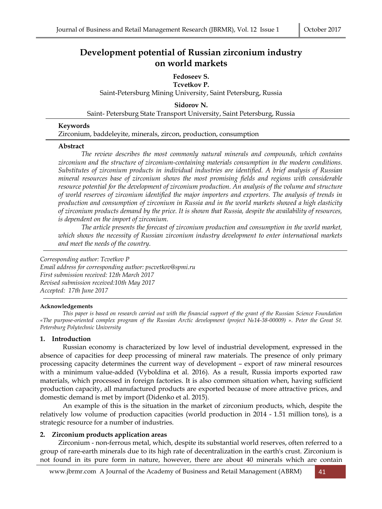# **Development potential of Russian zirconium industry on world markets**

## **Fedoseev S. Tcvetkov P.** Saint-Petersburg Mining University, Saint Petersburg, Russia

**Sidorov N.** Saint- Petersburg State Transport University, Saint Petersburg, Russia

#### **Keywords**

Zirconium, baddeleyite, minerals, zircon, production, consumption

#### **Abstract**

*The review describes the most commonly natural minerals and compounds, which contains zirconium and the structure of zirconium-containing materials consumption in the modern conditions. Substitutes of zirconium products in individual industries are identified. A brief analysis of Russian mineral resources base of zirconium shows the most promising fields and regions with considerable resource potential for the development of zirconium production. An analysis of the volume and structure of world reserves of zirconium identified the major importers and exporters. The analysis of trends in production and consumption of zirconium in Russia and in the world markets showed a high elasticity of zirconium products demand by the price. It is shown that Russia, despite the availability of resources, is dependent on the import of zirconium.* 

*The article presents the forecast of zirconium production and consumption in the world market, which shows the necessity of Russian zirconium industry development to enter international markets and meet the needs of the country.* 

*Corresponding author: Tcvetkov P Email address for corresponding author: pscvetkov@spmi.ru First submission received: 12th March 2017 Revised submission received:10th May 2017 Accepted: 17th June 2017*

#### **Acknowledgements**

*This paper is based on research carried out with the financial support of the grant of the Russian Science Foundation «The purpose-oriented complex program of the Russian Arctic development (project №14-38-00009) ». Peter the Great St. Petersburg Polytechnic University* 

## **1. Introduction**

Russian economy is characterized by low level of industrial development, expressed in the absence of capacities for deep processing of mineral raw materials. The presence of only primary processing capacity determines the current way of development – export of raw mineral resources with a minimum value-added (Vyboldina et al. 2016). As a result, Russia imports exported raw materials, which processed in foreign factories. It is also common situation when, having sufficient production capacity, all manufactured products are exported because of more attractive prices, and domestic demand is met by import (Didenko et al. 2015).

An example of this is the situation in the market of zirconium products, which, despite the relatively low volume of production capacities (world production in 2014 - 1.51 million tons), is a strategic resource for a number of industries.

## **2. Zirconium products application areas**

Zirconium - non-ferrous metal, which, despite its substantial world reserves, often referred to a group of rare-earth minerals due to its high rate of decentralization in the earth's crust. Zirconium is not found in its pure form in nature, however, there are about 40 minerals which are contain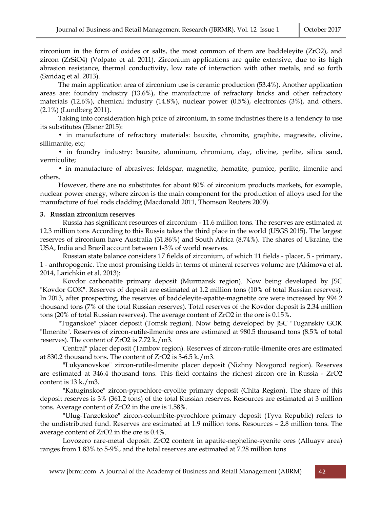zirconium in the form of oxides or salts, the most common of them are baddeleyite (ZrO2), and zircon (ZrSiO4) (Volpato et al. 2011). Zirconium applications are quite extensive, due to its high abrasion resistance, thermal conductivity, low rate of interaction with other metals, and so forth (Saridag et al. 2013).

The main application area of zirconium use is ceramic production (53.4%). Another application areas are: foundry industry (13.6%), the manufacture of refractory bricks and other refractory materials (12.6%), chemical industry (14.8%), nuclear power (0.5%), electronics (3%), and others. (2.1%) (Lundberg 2011).

Taking into consideration high price of zirconium, in some industries there is a tendency to use its substitutes (Elsner 2015):

• in manufacture of refractory materials: bauxite, chromite, graphite, magnesite, olivine, sillimanite, etc;

• in foundry industry: bauxite, aluminum, chromium, clay, olivine, perlite, silica sand, vermiculite;

• in manufacture of abrasives: feldspar, magnetite, hematite, pumice, perlite, ilmenite and others.

However, there are no substitutes for about 80% of zirconium products markets, for example, nuclear power energy, where zircon is the main component for the production of alloys used for the manufacture of fuel rods cladding (Macdonald 2011, Thomson Reuters 2009).

#### **3. Russian zirconium reserves**

Russia has significant resources of zirconium - 11.6 million tons. The reserves are estimated at 12.3 million tons According to this Russia takes the third place in the world (USGS 2015). The largest reserves of zirconium have Australia (31.86%) and South Africa (8.74%). The shares of Ukraine, the USA, India and Brazil account between 1-3% of world reserves.

Russian state balance considers 17 fields of zirconium, of which 11 fields - placer, 5 - primary, 1 - anthropogenic. The most promising fields in terms of mineral reserves volume are (Akimova et al. 2014, Larichkin et al. 2013):

Kovdor carbonatite primary deposit (Murmansk region). Now being developed by JSC "Kovdor GOK". Reserves of deposit are estimated at 1.2 million tons (10% of total Russian reserves). In 2013, after prospecting, the reserves of baddeleyite-apatite-magnetite ore were increased by 994.2 thousand tons (7% of the total Russian reserves). Total reserves of the Kovdor deposit is 2.34 million tons (20% of total Russian reserves). The average content of ZrO2 in the ore is 0.15%.

 "Tuganskoe" placer deposit (Tomsk region). Now being developed by JSC "Tuganskiy GOK "Ilmenite". Reserves of zircon-rutile-ilmenite ores are estimated at 980.5 thousand tons (8.5% of total reserves). The content of ZrO2 is 7.72 k./m3.

 "Central" placer deposit (Tambov region). Reserves of zircon-rutile-ilmenite ores are estimated at 830.2 thousand tons. The content of ZrO2 is 3-6.5 k./m3.

"Lukyanovskoe" zircon-rutile-ilmenite placer deposit (Nizhny Novgorod region). Reserves are estimated at 346.4 thousand tons. This field contains the richest zircon ore in Russia - ZrO2 content is 13 k./m3.

"Katuginskoe" zircon-pyrochlore-cryolite primary deposit (Chita Region). The share of this deposit reserves is 3% (361.2 tons) of the total Russian reserves. Resources are estimated at 3 million tons. Average content of ZrO2 in the ore is 1.58%.

"Ulug-Tanzekskoe" zircon-columbite-pyrochlore primary deposit (Tyva Republic) refers to the undistributed fund. Reserves are estimated at 1.9 million tons. Resources – 2.8 million tons. The average content of ZrO2 in the ore is 0.4%.

Lovozero rare-metal deposit. ZrO2 content in apatite-nepheline-syenite ores (Alluayv area) ranges from 1.83% to 5-9%, and the total reserves are estimated at 7.28 million tons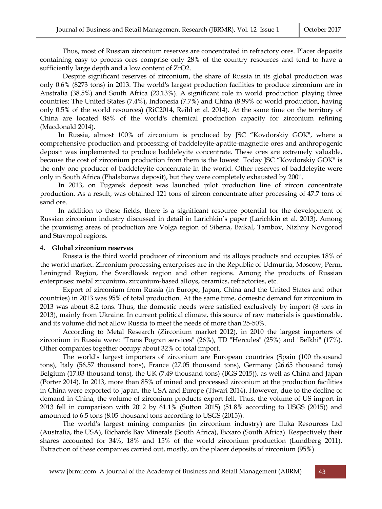Thus, most of Russian zirconium reserves are concentrated in refractory ores. Placer deposits containing easy to process ores comprise only 28% of the country resources and tend to have a sufficiently large depth and a low content of ZrO2.

Despite significant reserves of zirconium, the share of Russia in its global production was only 0.6% (8273 tons) in 2013. The world's largest production facilities to produce zirconium are in Australia (38.5%) and South Africa (23.13%). A significant role in world production playing three countries: The United States (7.4%), Indonesia (7.7%) and China (8.99% of world production, having only 0.5% of the world resources) (RiC2014, Reihl et al. 2014). At the same time on the territory of China are located 88% of the world's chemical production capacity for zirconium refining (Macdonald 2014).

In Russia, almost 100% of zirconium is produced by JSC "Kovdorskiy GOK", where a comprehensive production and processing of baddeleyite-apatite-magnetite ores and anthropogenic deposit was implemented to produce baddeleyite concentrate. These ores are extremely valuable, because the cost of zirconium production from them is the lowest. Today JSC "Kovdorskiy GOK" is the only one producer of baddeleyite concentrate in the world. Other reserves of baddeleyite were only in South Africa (Phalaborwa deposit), but they were completely exhausted by 2001.

In 2013, on Tugansk deposit was launched pilot production line of zircon concentrate production. As a result, was obtained 121 tons of zircon concentrate after processing of 47.7 tons of sand ore.

In addition to these fields, there is a significant resource potential for the development of Russian zirconium industry discussed in detail in Larichkin's paper (Larichkin et al. 2013). Among the promising areas of production are Volga region of Siberia, Baikal, Tambov, Nizhny Novgorod and Stavropol regions.

#### **4. Global zirconium reserves**

Russia is the third world producer of zirconium and its alloys products and occupies 18% of the world market. Zirconium processing enterprises are in the Republic of Udmurtia, Moscow, Perm, Leningrad Region, the Sverdlovsk region and other regions. Among the products of Russian enterprises: metal zirconium, zirconium-based alloys, ceramics, refractories, etc.

Export of zirconium from Russia (in Europe, Japan, China and the United States and other countries) in 2013 was 95% of total production. At the same time, domestic demand for zirconium in 2013 was about 8.2 tons. Thus, the domestic needs were satisfied exclusively by import (8 tons in 2013), mainly from Ukraine. In current political climate, this source of raw materials is questionable, and its volume did not allow Russia to meet the needs of more than 25-50%.

According to Metal Research (Zirconium market 2012), in 2010 the largest importers of zirconium in Russia were: "Trans Pogran services" (26%), TD "Hercules" (25%) and "Belkhi" (17%). Other companies together occupy about 32% of total import.

The world's largest importers of zirconium are European countries (Spain (100 thousand tons), Italy (56.57 thousand tons), France (27.05 thousand tons), Germany (26.65 thousand tons) Belgium (17.03 thousand tons), the UK (7.49 thousand tons) (BGS 2015)), as well as China and Japan (Porter 2014). In 2013, more than 85% of mined and processed zirconium at the production facilities in China were exported to Japan, the USA and Europe (Tiwari 2014). However, due to the decline of demand in China, the volume of zirconium products export fell. Thus, the volume of US import in 2013 fell in comparison with 2012 by 61.1% (Sutton 2015) (51.8% according to USGS (2015)) and amounted to 6.5 tons (8.05 thousand tons according to USGS (2015)).

The world's largest mining companies (in zirconium industry) are Iluka Resources Ltd (Australia, the USA), Richards Bay Minerals (South Africa), Exxaro (South Africa). Respectively their shares accounted for 34%, 18% and 15% of the world zirconium production (Lundberg 2011). Extraction of these companies carried out, mostly, on the placer deposits of zirconium (95%).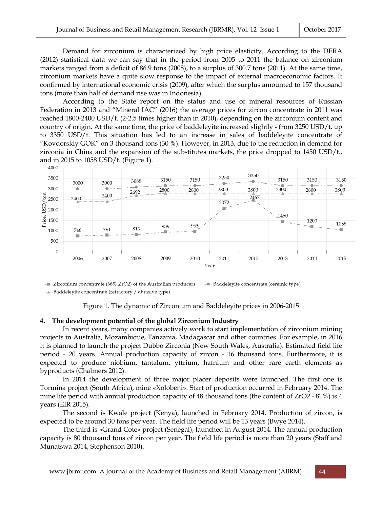Demand for zirconium is characterized by high price elasticity. According to the DERA (2012) statistical data we can say that in the period from 2005 to 2011 the balance on zirconium markets ranged from a deficit of 86.9 tons (2008), to a surplus of 300.7 tons (2011). At the same time, zirconium markets have a quite slow response to the impact of external macroeconomic factors. It confirmed by international economic crisis (2009), after which the surplus amounted to 157 thousand tons (more than half of demand rise was in Indonesia).

According to the State report on the status and use of mineral resources of Russian Federation in 2013 and "Mineral IAC" (2016) the average prices for zircon concentrate in 2011 was reached 1800-2400 USD/t. (2-2.5 times higher than in 2010), depending on the zirconium content and country of origin. At the same time, the price of baddeleyite increased slightly - from 3250 USD/t. up to 3350 USD/t. This situation has led to an increase in sales of baddeleyite concentrate of "Kovdorskiy GOK" on 3 thousand tons (30 %). However, in 2013, due to the reduction in demand for zirconia in China and the expansion of the substitutes markets, the price dropped to 1450 USD/t., and in 2015 to 1058 USD/t. (Figure 1).



 $\equiv$  Zirconium concentrate (66% ZrO2) of the Australian producers - Baddeleyite concentrate (ceramic type)  $\rightarrow$ -Baddeleyite concentrate (refractory / abrasive type)

Figure 1. The dynamic of Zirconium and Baddeleyite prices in 2006-2015

## **4. The development potential of the global Zirconium Industry**

In recent years, many companies actively work to start implementation of zirconium mining projects in Australia, Mozambique, Tanzania, Madagascar and other countries. For example, in 2016 it is planned to launch the project Dubbo Zirconia (New South Wales, Australia). Estimated field life period - 20 years. Annual production capacity of zircon - 16 thousand tons. Furthermore, it is expected to produce niobium, tantalum, yttrium, hafnium and other rare earth elements as byproducts (Chalmers 2012).

In 2014 the development of three major placer deposits were launched. The first one is Tormina project (South Africa), mine «Xolobeni». Start of production occurred in February 2014. The mine life period with annual production capacity of 48 thousand tons (the content of ZrO2 - 81%) is 4 years (EIR 2015).

The second is Kwale project (Kenya), launched in February 2014. Production of zircon, is expected to be around 30 tons per year. The field life period will be 13 years (Bwye 2014).

The third is «Grand Cote» project (Senegal), launched in August 2014. The annual production capacity is 80 thousand tons of zircon per year. The field life period is more than 20 years (Staff and Munatswa 2014, Stephenson 2010).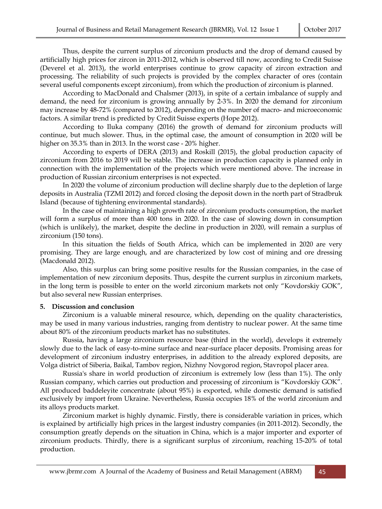Thus, despite the current surplus of zirconium products and the drop of demand caused by artificially high prices for zircon in 2011-2012, which is observed till now, according to Credit Suisse (Deverel et al. 2013), the world enterprises continue to grow capacity of zircon extraction and processing. The reliability of such projects is provided by the complex character of ores (contain several useful components except zirconium), from which the production of zirconium is planned.

According to MacDonald and Chalsmer (2013), in spite of a certain imbalance of supply and demand, the need for zirconium is growing annually by 2-3%. In 2020 the demand for zirconium may increase by 48-72% (compared to 2012), depending on the number of macro- and microeconomic factors. A similar trend is predicted by Credit Suisse experts (Hope 2012).

According to Iluka company (2016) the growth of demand for zirconium products will continue, but much slower. Thus, in the optimal case, the amount of consumption in 2020 will be higher on 35.3% than in 2013. In the worst case - 20% higher.

According to experts of DERA (2013) and Roskill (2015), the global production capacity of zirconium from 2016 to 2019 will be stable. The increase in production capacity is planned only in connection with the implementation of the projects which were mentioned above. The increase in production of Russian zirconium enterprises is not expected.

In 2020 the volume of zirconium production will decline sharply due to the depletion of large deposits in Australia (TZMI 2012) and forced closing the deposit down in the north part of Stradbruk Island (because of tightening environmental standards).

In the case of maintaining a high growth rate of zirconium products consumption, the market will form a surplus of more than 400 tons in 2020. In the case of slowing down in consumption (which is unlikely), the market, despite the decline in production in 2020, will remain a surplus of zirconium (150 tons).

In this situation the fields of South Africa, which can be implemented in 2020 are very promising. They are large enough, and are characterized by low cost of mining and ore dressing (Macdonald 2012).

Also, this surplus can bring some positive results for the Russian companies, in the case of implementation of new zirconium deposits. Thus, despite the current surplus in zirconium markets, in the long term is possible to enter on the world zirconium markets not only "Kovdorskiy GOK", but also several new Russian enterprises.

## **5. Discussion and conclusion**

Zirconium is a valuable mineral resource, which, depending on the quality characteristics, may be used in many various industries, ranging from dentistry to nuclear power. At the same time about 80% of the zirconium products market has no substitutes.

Russia, having a large zirconium resource base (third in the world), develops it extremely slowly due to the lack of easy-to-mine surface and near-surface placer deposits. Promising areas for development of zirconium industry enterprises, in addition to the already explored deposits, are Volga district of Siberia, Baikal, Tambov region, Nizhny Novgorod region, Stavropol placer area.

Russia's share in world production of zirconium is extremely low (less than 1%). The only Russian company, which carries out production and processing of zirconium is "Kovdorskiy GOK". All produced baddeleyite concentrate (about 95%) is exported, while domestic demand is satisfied exclusively by import from Ukraine. Nevertheless, Russia occupies 18% of the world zirconium and its alloys products market.

Zirconium market is highly dynamic. Firstly, there is considerable variation in prices, which is explained by artificially high prices in the largest industry companies (in 2011-2012). Secondly, the consumption greatly depends on the situation in China, which is a major importer and exporter of zirconium products. Thirdly, there is a significant surplus of zirconium, reaching 15-20% of total production.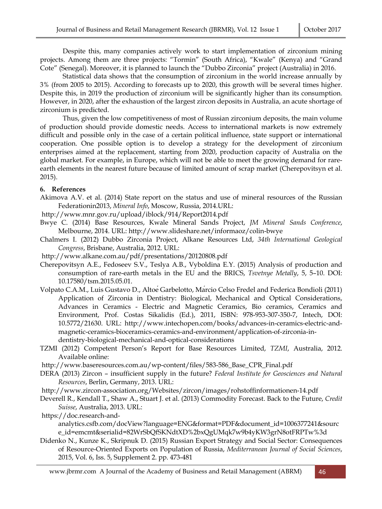Despite this, many companies actively work to start implementation of zirconium mining projects. Among them are three projects: "Tormin" (South Africa), "Kwale" (Kenya) and "Grand Cote" (Senegal). Moreover, it is planned to launch the "Dubbo Zirconia" project (Australia) in 2016.

Statistical data shows that the consumption of zirconium in the world increase annually by 3% (from 2005 to 2015). According to forecasts up to 2020, this growth will be several times higher. Despite this, in 2019 the production of zirconium will be significantly higher than its consumption. However, in 2020, after the exhaustion of the largest zircon deposits in Australia, an acute shortage of zirconium is predicted.

Thus, given the low competitiveness of most of Russian zirconium deposits, the main volume of production should provide domestic needs. Access to international markets is now extremely difficult and possible only in the case of a certain political influence, state support or international cooperation. One possible option is to develop a strategy for the development of zirconium enterprises aimed at the replacement, starting from 2020, production capacity of Australia on the global market. For example, in Europe, which will not be able to meet the growing demand for rareearth elements in the nearest future because of limited amount of scrap market (Cherepovitsyn et al. 2015).

#### **6. References**

Akimova A.V. et al. (2014) State report on the status and use of mineral resources of the Russian Federationin2013, *Mineral Info*, Moscow, Russia, 2014.URL:

http://www.mnr.gov.ru/upload/iblock/914/Report2014.pdf

- Bwye C. (2014) Base Resources, Kwale Mineral Sands Project, *JM Mineral Sands Conference*, Melbourne, 2014. URL: http://www.slideshare.net/informaoz/colin-bwye
- Chalmers I. (2012) Dubbo Zirconia Project, Alkane Resources Ltd, *34th International Geological Congress*, Brisbane, Australia, 2012. URL:
- http://www.alkane.com.au/pdf/presentations/20120808.pdf
- Cherepovitsyn A.E., Fedoseev S.V., Teslya A.B., Vyboldina E.Y. (2015) Analysis of production and consumption of rare-earth metals in the EU and the BRICS, *Tsvetnye Metally*, 5, 5–10. DOI: 10.17580/tsm.2015.05.01.
- Volpato C.A.M., Luis Gustavo D., Altoé Garbelotto, Márcio Celso Fredel and Federica Bondioli (2011) Application of Zirconia in Dentistry: Biological, Mechanical and Optical Considerations, Advances in Ceramics - Electric and Magnetic Ceramics, Bio ceramics, Ceramics and Environment, Prof. Costas Sikalidis (Ed.), 2011, ISBN: 978-953-307-350-7, Intech, DOI: 10.5772/21630. URL: http://www.intechopen.com/books/advances-in-ceramics-electric-andmagnetic-ceramics-bioceramics-ceramics-and-environment/application-of-zirconia-indentistry-biological-mechanical-and-optical-considerations
- TZMI (2012) Competent Person's Report for Base Resources Limited, *TZMI*, Australia, 2012. Available online:
- http://www.baseresources.com.au/wp-content/files/583-586\_Base\_CPR\_Final.pdf
- DERA (2013) Zircon insufficient supply in the future? *Federal Institute for Geosciences and Natural Resources*, Berlin, Germany, 2013. URL:
- http://www.zircon-association.org/Websites/zircon/images/rohstoffinformationen-14.pdf
- Deverell R., Kendall T., Shaw A., Stuart J. et al. (2013) Commodity Forecast. Back to the Future, *Credit Suisse*, Australia, 2013. URL:
- https://doc.research-and-

analytics.csfb.com/docView?language=ENG&format=PDF&document\_id=1006377241&sourc e\_id=emcmt&serialid=82WrSbQfSKNdtXD%2bxQgUMqk7w9b4yKW3grN8otFRPTw%3d

Didenko N., Kunze K., Skripnuk D. (2015) Russian Export Strategy and Social Sector: Consequences of Resource-Oriented Exports on Population of Russia, *Mediterranean Journal of Social Sciences*, 2015, Vol. 6, Iss. 5, Supplement 2. pp. 473-481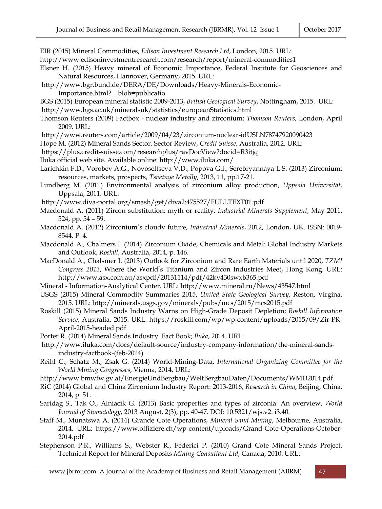EIR (2015) Mineral Commodities, *Edison Investment Research Ltd*, London, 2015. URL:

http://www.edisoninvestmentresearch.com/research/report/mineral-commodities1

- Elsner H. (2015) Heavy mineral of Economic Importance, Federal Institute for Geosciences and Natural Resources, Hannover, Germany, 2015. URL:
- http://www.bgr.bund.de/DERA/DE/Downloads/Heavy-Minerals-Economic-Importance.html?\_\_blob=publicatio

BGS (2015) European mineral statistic 2009-2013, *British Geological Survey*, Nottingham, 2015. URL:

- http://www.bgs.ac.uk/mineralsuk/statistics/europeanStatistics.html
- Thomson Reuters (2009) Factbox nuclear industry and zirconium; *Thomson Reuters*, London, April 2009. URL:
- http://www.reuters.com/article/2009/04/23/zirconium-nuclear-idUSLN78747920090423
- Hope M. (2012) Mineral Sands Sector. Sector Review, *Credit Suisse*, Australia, 2012. URL:
- https://plus.credit-suisse.com/researchplus/ravDocView?docid=R3itjq
- Iluka official web site. Available online: http://www.iluka.com/
- Larichkin F.D., Vorobev A.G., Novoseltseva V.D., Popova G.I., Serebryannaya L.S. (2013) Zirconium: resources, markets, prospects, *Tsvetnye Metally*, 2013, 11, pp.17-21.
- Lundberg M. (2011) Environmental analysis of zirconium alloy production, *Uppsala Universität*, Uppsala, 2011. URL:
- http://www.diva-portal.org/smash/get/diva2:475527/FULLTEXT01.pdf
- Macdonald A. (2011) Zircon substitution: myth or reality, *Industrial Minerals Supplement*, May 2011, 524, pp. 54 – 59.
- Macdonald A. (2012) Zirconium's cloudy future, *Industrial Minerals*, 2012, London, UK. ISSN: 0019- 8544. P. 4.
- Macdonald A., Chalmers I. (2014) Zirconium Oxide, Chemicals and Metal: Global Industry Markets and Outlook, *Roskill*, Australia, 2014, p. 146.
- MacDonald A., Chalsmer I. (2013) Outlook for Zirconium and Rare Earth Materials until 2020, *TZMI Congress 2013*, Where the World's Titanium and Zircon Industries Meet, Hong Kong. URL: http://www.asx.com.au/asxpdf/20131114/pdf/42kv430swxb365.pdf
- Mineral Information-Analytical Center. URL: http://www.mineral.ru/News/43547.html
- USGS (2015) Mineral Commodity Summaries 2015, *United State Geological Survey*, Reston, Virgina, 2015. URL: http://minerals.usgs.gov/minerals/pubs/mcs/2015/mcs2015.pdf
- Roskill (2015) Mineral Sands Industry Warns on High-Grade Deposit Depletion; *Roskill Information Service*, Australia, 2015. URL: https://roskill.com/wp/wp-content/uploads/2015/09/Zir-PR-April-2015-headed.pdf
- Porter R. (2014) Mineral Sands Industry. Fact Book; *Iluka*, 2014. URL:
- http://www.iluka.com/docs/default-source/industry-company-information/the-mineral-sandsindustry-factbook-(feb-2014)
- Reihl C., Schatz M., Zsak G. (2014) World-Mining-Data, *International Organizing Committee for the World Mining Congresses*, Vienna, 2014. URL:
- http://www.bmwfw.gv.at/EnergieUndBergbau/WeltBergbauDaten/Documents/WMD2014.pdf
- RiC (2014) Global and China Zirconium Industry Report: 2013-2016, *Research in China*, Beijing, China, 2014, p. 51.
- Saridag S., Tak O., Alniacik G. (2013) Basic properties and types of zirconia: An overview, *World Journal of Stomatology*, 2013 August, 2(3), pp. 40-47. DOI: 10.5321/wjs.v2. i3.40.
- Staff M., Munatswa A. (2014) Grande Cote Operations, *Mineral Sand Mining*, Melbourne, Australia, 2014. URL: https://www.offiziere.ch/wp-content/uploads/Grand-Cote-Operations-October-2014.pdf
- Stephenson P.R., Williams S., Webster R., Federici P. (2010) Grand Cote Mineral Sands Project, Technical Report for Mineral Deposits *Mining Consultant Ltd*, Canada, 2010. URL: